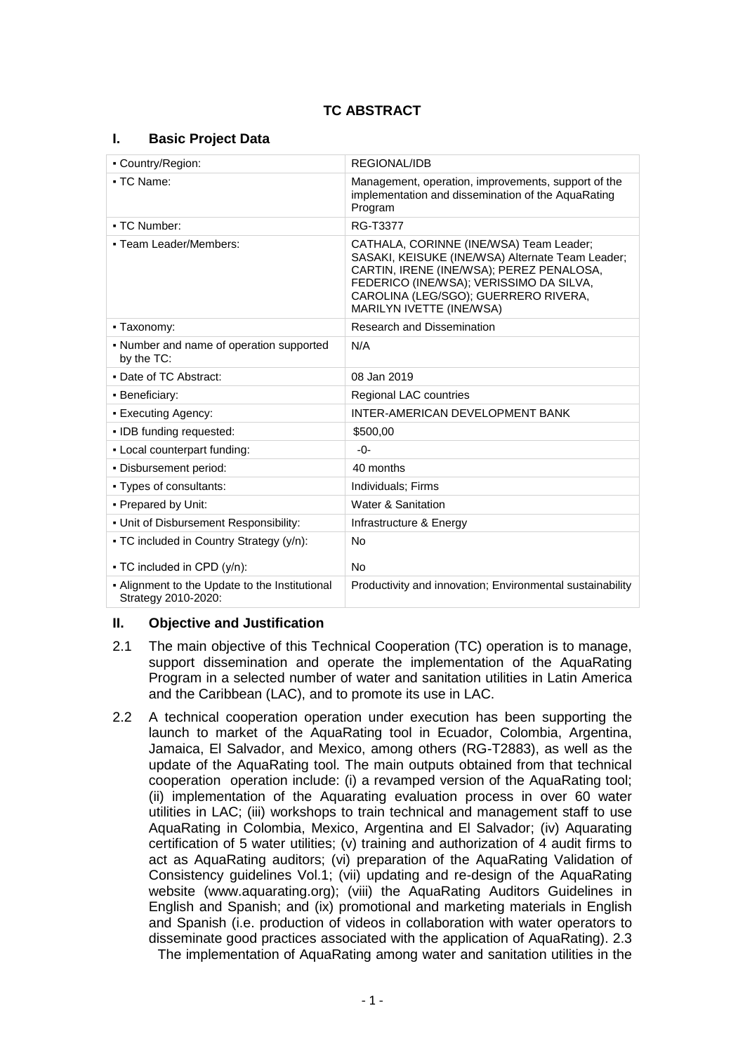### **I. Basic Project Data**

| • Country/Region:                                                     | REGIONAL/IDB                                                                                                                                                                                                                                           |  |  |
|-----------------------------------------------------------------------|--------------------------------------------------------------------------------------------------------------------------------------------------------------------------------------------------------------------------------------------------------|--|--|
| • TC Name:                                                            | Management, operation, improvements, support of the<br>implementation and dissemination of the AquaRating<br>Program                                                                                                                                   |  |  |
| • TC Number:                                                          | RG-T3377                                                                                                                                                                                                                                               |  |  |
| • Team Leader/Members:                                                | CATHALA, CORINNE (INE/WSA) Team Leader;<br>SASAKI, KEISUKE (INE/WSA) Alternate Team Leader;<br>CARTIN, IRENE (INE/WSA); PEREZ PENALOSA,<br>FEDERICO (INE/WSA); VERISSIMO DA SILVA,<br>CAROLINA (LEG/SGO); GUERRERO RIVERA,<br>MARILYN IVETTE (INE/WSA) |  |  |
| • Taxonomy:                                                           | Research and Dissemination                                                                                                                                                                                                                             |  |  |
| • Number and name of operation supported<br>by the TC:                | N/A                                                                                                                                                                                                                                                    |  |  |
| • Date of TC Abstract:                                                | 08 Jan 2019                                                                                                                                                                                                                                            |  |  |
| · Beneficiary:                                                        | Regional LAC countries                                                                                                                                                                                                                                 |  |  |
| • Executing Agency:                                                   | INTER-AMERICAN DEVELOPMENT BANK                                                                                                                                                                                                                        |  |  |
| . IDB funding requested:                                              | \$500,00                                                                                                                                                                                                                                               |  |  |
| - Local counterpart funding:                                          | $-()$ -                                                                                                                                                                                                                                                |  |  |
| · Disbursement period:                                                | 40 months                                                                                                                                                                                                                                              |  |  |
| • Types of consultants:                                               | Individuals; Firms                                                                                                                                                                                                                                     |  |  |
| • Prepared by Unit:                                                   | Water & Sanitation                                                                                                                                                                                                                                     |  |  |
| . Unit of Disbursement Responsibility:                                | Infrastructure & Energy                                                                                                                                                                                                                                |  |  |
| • TC included in Country Strategy (y/n):                              | N <sub>o</sub>                                                                                                                                                                                                                                         |  |  |
| • TC included in CPD (y/n):                                           | <b>No</b>                                                                                                                                                                                                                                              |  |  |
| - Alignment to the Update to the Institutional<br>Strategy 2010-2020: | Productivity and innovation; Environmental sustainability                                                                                                                                                                                              |  |  |

### **II. Objective and Justification**

- 2.1 The main objective of this Technical Cooperation (TC) operation is to manage, support dissemination and operate the implementation of the AquaRating Program in a selected number of water and sanitation utilities in Latin America and the Caribbean (LAC), and to promote its use in LAC.
- 2.2 A technical cooperation operation under execution has been supporting the launch to market of the AquaRating tool in Ecuador, Colombia, Argentina, Jamaica, El Salvador, and Mexico, among others (RG-T2883), as well as the update of the AquaRating tool. The main outputs obtained from that technical cooperation operation include: (i) a revamped version of the AquaRating tool; (ii) implementation of the Aquarating evaluation process in over 60 water utilities in LAC; (iii) workshops to train technical and management staff to use AquaRating in Colombia, Mexico, Argentina and El Salvador; (iv) Aquarating certification of 5 water utilities; (v) training and authorization of 4 audit firms to act as AquaRating auditors; (vi) preparation of the AquaRating Validation of Consistency guidelines Vol.1; (vii) updating and re-design of the AquaRating website (www.aquarating.org); (viii) the AquaRating Auditors Guidelines in English and Spanish; and (ix) promotional and marketing materials in English and Spanish (i.e. production of videos in collaboration with water operators to disseminate good practices associated with the application of AquaRating). 2.3 The implementation of AquaRating among water and sanitation utilities in the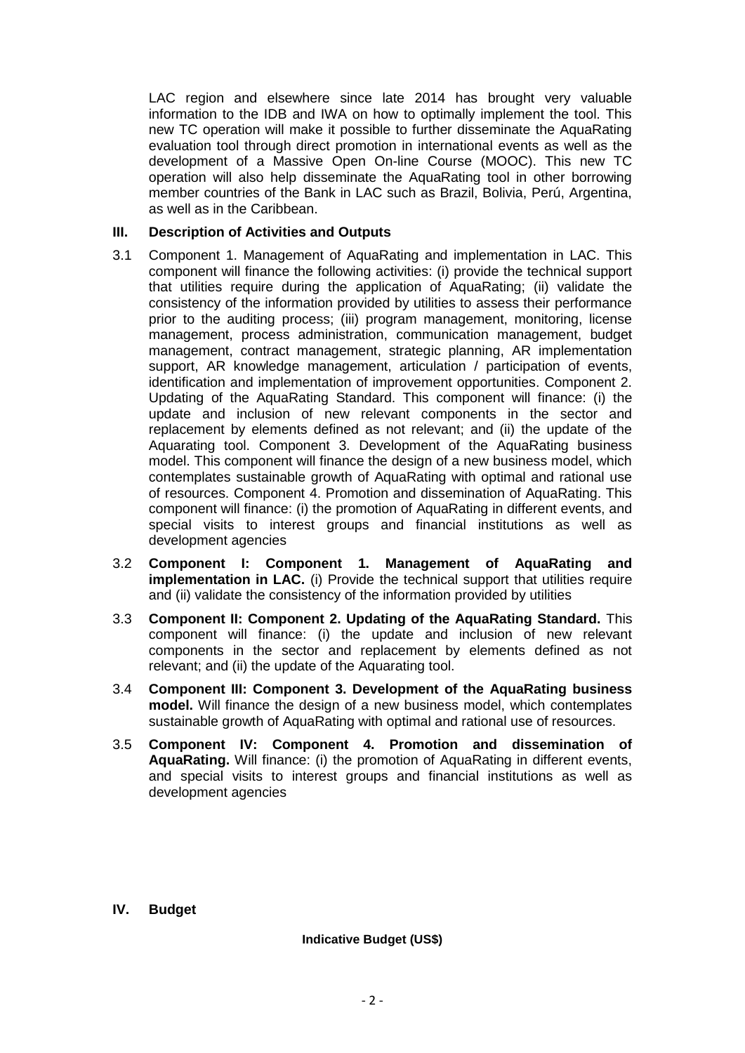LAC region and elsewhere since late 2014 has brought very valuable information to the IDB and IWA on how to optimally implement the tool. This new TC operation will make it possible to further disseminate the AquaRating evaluation tool through direct promotion in international events as well as the development of a Massive Open On-line Course (MOOC). This new TC operation will also help disseminate the AquaRating tool in other borrowing member countries of the Bank in LAC such as Brazil, Bolivia, Perú, Argentina, as well as in the Caribbean.

#### **III. Description of Activities and Outputs**

- 3.1 Component 1. Management of AquaRating and implementation in LAC. This component will finance the following activities: (i) provide the technical support that utilities require during the application of AquaRating; (ii) validate the consistency of the information provided by utilities to assess their performance prior to the auditing process; (iii) program management, monitoring, license management, process administration, communication management, budget management, contract management, strategic planning, AR implementation support, AR knowledge management, articulation / participation of events, identification and implementation of improvement opportunities. Component 2. Updating of the AquaRating Standard. This component will finance: (i) the update and inclusion of new relevant components in the sector and replacement by elements defined as not relevant; and (ii) the update of the Aquarating tool. Component 3. Development of the AquaRating business model. This component will finance the design of a new business model, which contemplates sustainable growth of AquaRating with optimal and rational use of resources. Component 4. Promotion and dissemination of AquaRating. This component will finance: (i) the promotion of AquaRating in different events, and special visits to interest groups and financial institutions as well as development agencies
- 3.2 **Component I: Component 1. Management of AquaRating and implementation in LAC.** (i) Provide the technical support that utilities require and (ii) validate the consistency of the information provided by utilities
- 3.3 **Component II: Component 2. Updating of the AquaRating Standard.** This component will finance: (i) the update and inclusion of new relevant components in the sector and replacement by elements defined as not relevant; and (ii) the update of the Aquarating tool.
- 3.4 **Component III: Component 3. Development of the AquaRating business model.** Will finance the design of a new business model, which contemplates sustainable growth of AquaRating with optimal and rational use of resources.
- 3.5 **Component IV: Component 4. Promotion and dissemination of AquaRating.** Will finance: (i) the promotion of AquaRating in different events, and special visits to interest groups and financial institutions as well as development agencies

### **IV. Budget**

**Indicative Budget (US\$)**